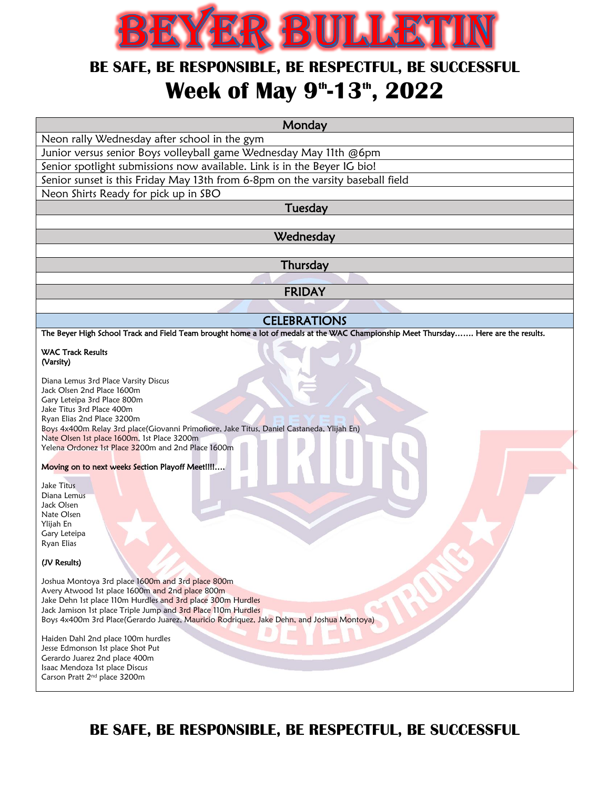

## **BE SAFE, BE RESPONSIBLE, BE RESPECTFUL, BE SUCCESSFUL Week of May 9 th -13th , 2022**

| Monday                                                                                                                                                     |
|------------------------------------------------------------------------------------------------------------------------------------------------------------|
| Neon rally Wednesday after school in the gym                                                                                                               |
| Junior versus senior Boys volleyball game Wednesday May 11th @6pm                                                                                          |
| Senior spotlight submissions now available. Link is in the Beyer IG bio!                                                                                   |
| Senior sunset is this Friday May 13th from 6-8pm on the varsity baseball field                                                                             |
| Neon Shirts Ready for pick up in SBO                                                                                                                       |
| Tuesday                                                                                                                                                    |
|                                                                                                                                                            |
| Wednesday                                                                                                                                                  |
|                                                                                                                                                            |
| Thursday                                                                                                                                                   |
|                                                                                                                                                            |
| <b>FRIDAY</b>                                                                                                                                              |
|                                                                                                                                                            |
| <b>CELEBRATIONS</b><br>The Beyer High School Track and Field Team brought home a lot of medals at the WAC Championship Meet Thursday Here are the results. |
|                                                                                                                                                            |
| <b>WAC Track Results</b><br>(Varsity)                                                                                                                      |
| Diana Lemus 3rd Place Varsity Discus                                                                                                                       |
| Jack Olsen 2nd Place 1600m                                                                                                                                 |
| Gary Leteipa 3rd Place 800m<br>Jake Titus 3rd Place 400m                                                                                                   |
| Ryan Elias 2nd Place 3200m                                                                                                                                 |
| Boys 4x400m Relay 3rd place(Giovanni Primofiore, Jake Titus, Daniel Castaneda, Ylijah En)<br>Nate Olsen 1st place 1600m, 1st Place 3200m                   |
| Yelena Ordonez 1st Place 3200m and 2nd Place 1600m                                                                                                         |
| Moving on to next weeks Section Playoff Meet!!!!                                                                                                           |
|                                                                                                                                                            |
| <b>Jake Titus</b><br>Diana Lemus                                                                                                                           |
| Jack Olsen                                                                                                                                                 |
| Nate Olsen                                                                                                                                                 |
| Ylijah En<br>Gary Leteipa                                                                                                                                  |
| Ryan Elias                                                                                                                                                 |
| (JV Results)                                                                                                                                               |
| Joshua Montoya 3rd place 1600m and 3rd place 800m                                                                                                          |
| Avery Atwood 1st place 1600m and 2nd place 800m                                                                                                            |
| Jake Dehn 1st place 110m Hurdles and 3rd place 300m Hurdles<br>Jack Jamison 1st place Triple Jump and 3rd Place 110m Hurdles                               |
| Boys 4x400m 3rd Place(Gerardo Juarez, Mauricio Rodriquez, Jake Dehn, and Joshua Montoya)                                                                   |
| Haiden Dahl 2nd place 100m hurdles                                                                                                                         |
| Jesse Edmonson 1st place Shot Put                                                                                                                          |
| Gerardo Juarez 2nd place 400m                                                                                                                              |
| Isaac Mendoza 1st place Discus<br>Carson Pratt 2 <sup>nd</sup> place 3200m                                                                                 |
|                                                                                                                                                            |

**BE SAFE, BE RESPONSIBLE, BE RESPECTFUL, BE SUCCESSFUL**